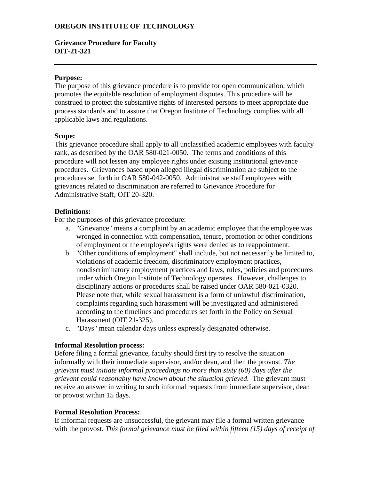## **OREGON INSTITUTE OF TECHNOLOGY**

### **Grievance Procedure for Faculty OIT-21-321**

#### **Purpose:**

The purpose of this grievance procedure is to provide for open communication, which promotes the equitable resolution of employment disputes. This procedure will be construed to protect the substantive rights of interested persons to meet appropriate due process standards and to assure that Oregon Institute of Technology complies with all applicable laws and regulations.

#### **Scope:**

This grievance procedure shall apply to all unclassified academic employees with faculty rank, as described by the OAR 580-021-0050. The terms and conditions of this procedure will not lessen any employee rights under existing institutional grievance procedures. Grievances based upon alleged illegal discrimination are subject to the procedures set forth in OAR 580-042-0050. Administrative staff employees with grievances related to discrimination are referred to Grievance Procedure for Administrative Staff, OIT 20-320.

#### **Definitions:**

For the purposes of this grievance procedure:

- a. "Grievance" means a complaint by an academic employee that the employee was wronged in connection with compensation, tenure, promotion or other conditions of employment or the employee's rights were denied as to reappointment.
- b. "Other conditions of employment" shall include, but not necessarily be limited to, violations of academic freedom, discriminatory employment practices, nondiscriminatory employment practices and laws, rules, policies and procedures under which Oregon Institute of Technology operates. However, challenges to disciplinary actions or procedures shall be raised under OAR 580-021-0320. Please note that, while sexual harassment is a form of unlawful discrimination, complaints regarding such harassment will be investigated and administered according to the timelines and procedures set forth in the Policy on Sexual Harassment (OIT 21-325).
- c. "Days" mean calendar days unless expressly designated otherwise.

#### **Informal Resolution process:**

Before filing a formal grievance, faculty should first try to resolve the situation informally with their immediate supervisor, and/or dean, and then the provost. *The grievant must initiate informal proceedings no more than sixty (60) days after the grievant could reasonably have known about the situation grieved.* The grievant must receive an answer in writing to such informal requests from immediate supervisor, dean or provost within 15 days.

#### **Formal Resolution Process:**

If informal requests are unsuccessful, the grievant may file a formal written grievance with the provost. *This formal grievance must be filed within fifteen (15) days of receipt of*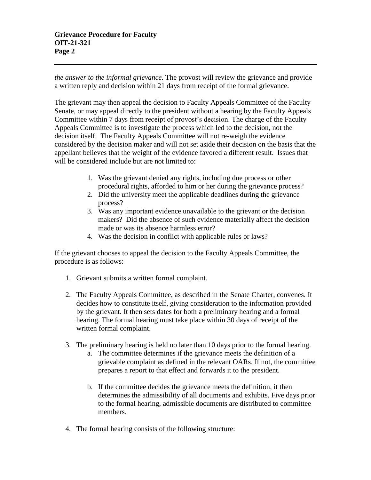*the answer to the informal grievance.* The provost will review the grievance and provide a written reply and decision within 21 days from receipt of the formal grievance.

The grievant may then appeal the decision to Faculty Appeals Committee of the Faculty Senate, or may appeal directly to the president without a hearing by the Faculty Appeals Committee within 7 days from receipt of provost's decision. The charge of the Faculty Appeals Committee is to investigate the process which led to the decision, not the decision itself. The Faculty Appeals Committee will not re-weigh the evidence considered by the decision maker and will not set aside their decision on the basis that the appellant believes that the weight of the evidence favored a different result. Issues that will be considered include but are not limited to:

- 1. Was the grievant denied any rights, including due process or other procedural rights, afforded to him or her during the grievance process?
- 2. Did the university meet the applicable deadlines during the grievance process?
- 3. Was any important evidence unavailable to the grievant or the decision makers? Did the absence of such evidence materially affect the decision made or was its absence harmless error?
- 4. Was the decision in conflict with applicable rules or laws?

If the grievant chooses to appeal the decision to the Faculty Appeals Committee, the procedure is as follows:

- 1. Grievant submits a written formal complaint.
- 2. The Faculty Appeals Committee, as described in the Senate Charter, convenes. It decides how to constitute itself, giving consideration to the information provided by the grievant. It then sets dates for both a preliminary hearing and a formal hearing. The formal hearing must take place within 30 days of receipt of the written formal complaint.
- 3. The preliminary hearing is held no later than 10 days prior to the formal hearing.
	- a. The committee determines if the grievance meets the definition of a grievable complaint as defined in the relevant OARs. If not, the committee prepares a report to that effect and forwards it to the president.
	- b. If the committee decides the grievance meets the definition, it then determines the admissibility of all documents and exhibits. Five days prior to the formal hearing, admissible documents are distributed to committee members.
- 4. The formal hearing consists of the following structure: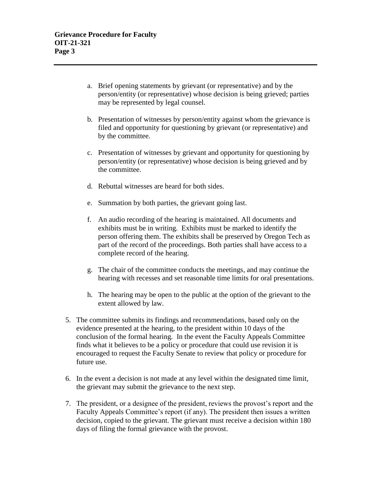- a. Brief opening statements by grievant (or representative) and by the person/entity (or representative) whose decision is being grieved; parties may be represented by legal counsel.
- b. Presentation of witnesses by person/entity against whom the grievance is filed and opportunity for questioning by grievant (or representative) and by the committee.
- c. Presentation of witnesses by grievant and opportunity for questioning by person/entity (or representative) whose decision is being grieved and by the committee.
- d. Rebuttal witnesses are heard for both sides.
- e. Summation by both parties, the grievant going last.
- f. An audio recording of the hearing is maintained. All documents and exhibits must be in writing. Exhibits must be marked to identify the person offering them. The exhibits shall be preserved by Oregon Tech as part of the record of the proceedings. Both parties shall have access to a complete record of the hearing.
- g. The chair of the committee conducts the meetings, and may continue the hearing with recesses and set reasonable time limits for oral presentations.
- h. The hearing may be open to the public at the option of the grievant to the extent allowed by law.
- 5. The committee submits its findings and recommendations, based only on the evidence presented at the hearing, to the president within 10 days of the conclusion of the formal hearing. In the event the Faculty Appeals Committee finds what it believes to be a policy or procedure that could use revision it is encouraged to request the Faculty Senate to review that policy or procedure for future use.
- 6. In the event a decision is not made at any level within the designated time limit, the grievant may submit the grievance to the next step.
- 7. The president, or a designee of the president, reviews the provost's report and the Faculty Appeals Committee's report (if any). The president then issues a written decision, copied to the grievant. The grievant must receive a decision within 180 days of filing the formal grievance with the provost.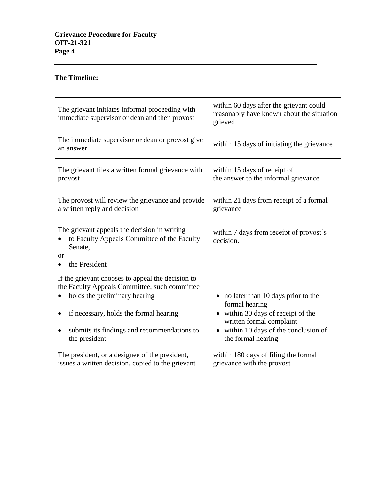# **The Timeline:**

| The grievant initiates informal proceeding with<br>immediate supervisor or dean and then provost                                                                                                                                                           | within 60 days after the grievant could<br>reasonably have known about the situation<br>grieved                                                                                                    |
|------------------------------------------------------------------------------------------------------------------------------------------------------------------------------------------------------------------------------------------------------------|----------------------------------------------------------------------------------------------------------------------------------------------------------------------------------------------------|
| The immediate supervisor or dean or provost give<br>an answer                                                                                                                                                                                              | within 15 days of initiating the grievance                                                                                                                                                         |
| The grievant files a written formal grievance with<br>provost                                                                                                                                                                                              | within 15 days of receipt of<br>the answer to the informal grievance                                                                                                                               |
| The provost will review the grievance and provide<br>a written reply and decision                                                                                                                                                                          | within 21 days from receipt of a formal<br>grievance                                                                                                                                               |
| The grievant appeals the decision in writing<br>to Faculty Appeals Committee of the Faculty<br>Senate,<br><b>or</b><br>the President                                                                                                                       | within 7 days from receipt of provost's<br>decision.                                                                                                                                               |
| If the grievant chooses to appeal the decision to<br>the Faculty Appeals Committee, such committee<br>holds the preliminary hearing<br>if necessary, holds the formal hearing<br>$\bullet$<br>submits its findings and recommendations to<br>the president | • no later than 10 days prior to the<br>formal hearing<br>• within 30 days of receipt of the<br>written formal complaint<br>within 10 days of the conclusion of<br>$\bullet$<br>the formal hearing |
| The president, or a designee of the president,<br>issues a written decision, copied to the grievant                                                                                                                                                        | within 180 days of filing the formal<br>grievance with the provost                                                                                                                                 |